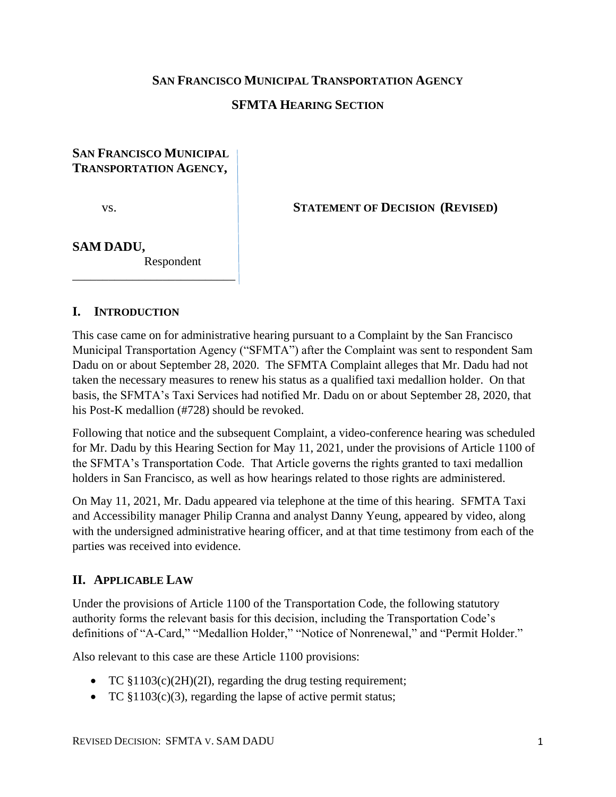## **SAN FRANCISCO MUNICIPAL TRANSPORTATION AGENCY**

## **SFMTA HEARING SECTION**

## **SAN FRANCISCO MUNICIPAL TRANSPORTATION AGENCY,**

vs. **STATEMENT OF DECISION (REVISED)** 

## **SAM DADU,**

Respondent

\_\_\_\_\_\_\_\_\_\_\_\_\_\_\_\_\_\_\_\_\_\_\_\_\_\_\_

#### **I. INTRODUCTION**

This case came on for administrative hearing pursuant to a Complaint by the San Francisco Municipal Transportation Agency ("SFMTA") after the Complaint was sent to respondent Sam Dadu on or about September 28, 2020. The SFMTA Complaint alleges that Mr. Dadu had not taken the necessary measures to renew his status as a qualified taxi medallion holder. On that basis, the SFMTA's Taxi Services had notified Mr. Dadu on or about September 28, 2020, that his Post-K medallion (#728) should be revoked.

Following that notice and the subsequent Complaint, a video-conference hearing was scheduled for Mr. Dadu by this Hearing Section for May 11, 2021, under the provisions of Article 1100 of the SFMTA's Transportation Code. That Article governs the rights granted to taxi medallion holders in San Francisco, as well as how hearings related to those rights are administered.

On May 11, 2021, Mr. Dadu appeared via telephone at the time of this hearing. SFMTA Taxi and Accessibility manager Philip Cranna and analyst Danny Yeung, appeared by video, along with the undersigned administrative hearing officer, and at that time testimony from each of the parties was received into evidence.

# **II. APPLICABLE LAW**

Under the provisions of Article 1100 of the Transportation Code, the following statutory authority forms the relevant basis for this decision, including the Transportation Code's definitions of "A-Card," "Medallion Holder," "Notice of Nonrenewal," and "Permit Holder."

Also relevant to this case are these Article 1100 provisions:

- TC  $$1103(c)(2H)(2I)$ , regarding the drug testing requirement;
- TC  $$1103(c)(3)$ , regarding the lapse of active permit status;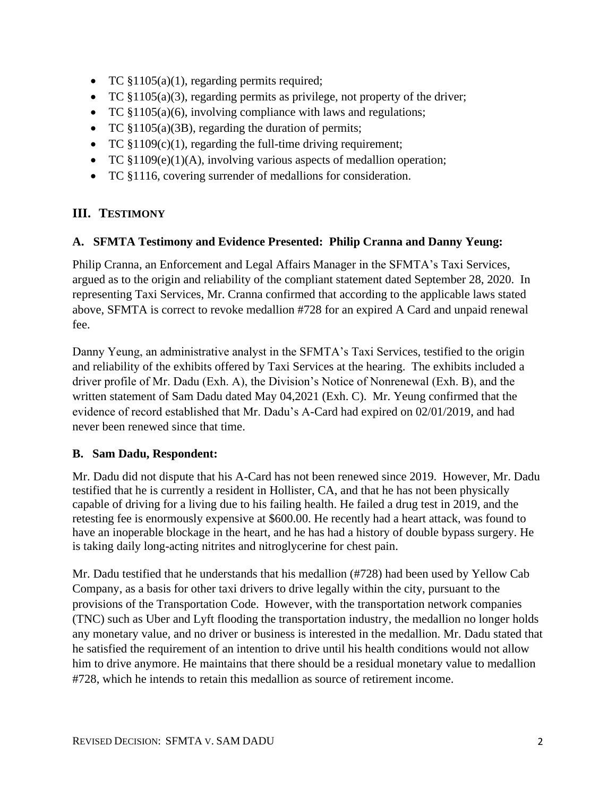- TC §1105(a)(1), regarding permits required;
- TC  $$1105(a)(3)$ , regarding permits as privilege, not property of the driver;
- TC §1105(a)(6), involving compliance with laws and regulations;
- TC  $$1105(a)(3B)$ , regarding the duration of permits;
- TC  $$1109(c)(1)$ , regarding the full-time driving requirement;
- TC  $$1109(e)(1)(A)$ , involving various aspects of medallion operation;
- TC §1116, covering surrender of medallions for consideration.

# **III. TESTIMONY**

# **A. SFMTA Testimony and Evidence Presented: Philip Cranna and Danny Yeung:**

Philip Cranna, an Enforcement and Legal Affairs Manager in the SFMTA's Taxi Services, argued as to the origin and reliability of the compliant statement dated September 28, 2020. In representing Taxi Services, Mr. Cranna confirmed that according to the applicable laws stated above, SFMTA is correct to revoke medallion #728 for an expired A Card and unpaid renewal fee.

Danny Yeung, an administrative analyst in the SFMTA's Taxi Services, testified to the origin and reliability of the exhibits offered by Taxi Services at the hearing. The exhibits included a driver profile of Mr. Dadu (Exh. A), the Division's Notice of Nonrenewal (Exh. B), and the written statement of Sam Dadu dated May 04,2021 (Exh. C). Mr. Yeung confirmed that the evidence of record established that Mr. Dadu's A-Card had expired on 02/01/2019, and had never been renewed since that time.

# **B. Sam Dadu, Respondent:**

Mr. Dadu did not dispute that his A-Card has not been renewed since 2019. However, Mr. Dadu testified that he is currently a resident in Hollister, CA, and that he has not been physically capable of driving for a living due to his failing health. He failed a drug test in 2019, and the retesting fee is enormously expensive at \$600.00. He recently had a heart attack, was found to have an inoperable blockage in the heart, and he has had a history of double bypass surgery. He is taking daily long-acting nitrites and nitroglycerine for chest pain.

Mr. Dadu testified that he understands that his medallion (#728) had been used by Yellow Cab Company, as a basis for other taxi drivers to drive legally within the city, pursuant to the provisions of the Transportation Code. However, with the transportation network companies (TNC) such as Uber and Lyft flooding the transportation industry, the medallion no longer holds any monetary value, and no driver or business is interested in the medallion. Mr. Dadu stated that he satisfied the requirement of an intention to drive until his health conditions would not allow him to drive anymore. He maintains that there should be a residual monetary value to medallion #728, which he intends to retain this medallion as source of retirement income.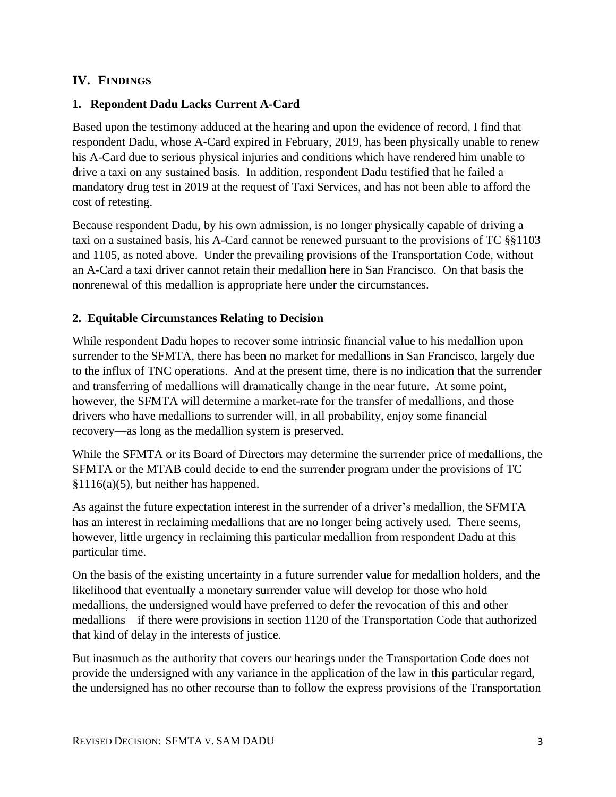## **IV. FINDINGS**

## **1. Repondent Dadu Lacks Current A-Card**

Based upon the testimony adduced at the hearing and upon the evidence of record, I find that respondent Dadu, whose A-Card expired in February, 2019, has been physically unable to renew his A-Card due to serious physical injuries and conditions which have rendered him unable to drive a taxi on any sustained basis. In addition, respondent Dadu testified that he failed a mandatory drug test in 2019 at the request of Taxi Services, and has not been able to afford the cost of retesting.

Because respondent Dadu, by his own admission, is no longer physically capable of driving a taxi on a sustained basis, his A-Card cannot be renewed pursuant to the provisions of TC §§1103 and 1105, as noted above. Under the prevailing provisions of the Transportation Code, without an A-Card a taxi driver cannot retain their medallion here in San Francisco. On that basis the nonrenewal of this medallion is appropriate here under the circumstances.

## **2. Equitable Circumstances Relating to Decision**

While respondent Dadu hopes to recover some intrinsic financial value to his medallion upon surrender to the SFMTA, there has been no market for medallions in San Francisco, largely due to the influx of TNC operations. And at the present time, there is no indication that the surrender and transferring of medallions will dramatically change in the near future. At some point, however, the SFMTA will determine a market-rate for the transfer of medallions, and those drivers who have medallions to surrender will, in all probability, enjoy some financial recovery—as long as the medallion system is preserved.

While the SFMTA or its Board of Directors may determine the surrender price of medallions, the SFMTA or the MTAB could decide to end the surrender program under the provisions of TC §1116(a)(5), but neither has happened.

As against the future expectation interest in the surrender of a driver's medallion, the SFMTA has an interest in reclaiming medallions that are no longer being actively used. There seems, however, little urgency in reclaiming this particular medallion from respondent Dadu at this particular time.

On the basis of the existing uncertainty in a future surrender value for medallion holders, and the likelihood that eventually a monetary surrender value will develop for those who hold medallions, the undersigned would have preferred to defer the revocation of this and other medallions—if there were provisions in section 1120 of the Transportation Code that authorized that kind of delay in the interests of justice.

But inasmuch as the authority that covers our hearings under the Transportation Code does not provide the undersigned with any variance in the application of the law in this particular regard, the undersigned has no other recourse than to follow the express provisions of the Transportation